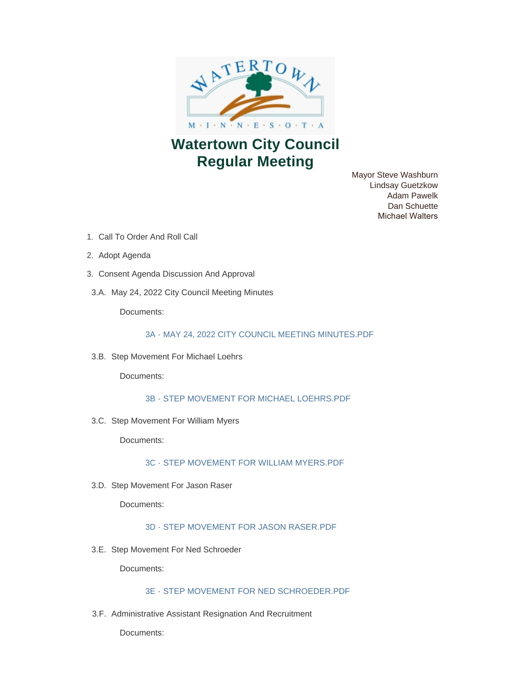

# **Watertown City Council Regular Meeting**

Mayor Steve Washburn Lindsay Guetzkow Adam Pawelk Dan Schuette Michael Walters

- 1. Call To Order And Roll Call
- 2. Adopt Agenda
- 3. Consent Agenda Discussion And Approval
- 3.A. May 24, 2022 City Council Meeting Minutes

Documents:

### [3A - MAY 24, 2022 CITY COUNCIL MEETING MINUTES.PDF](https://www.watertownmn.gov/AgendaCenter/ViewFile/Item/2369?fileID=1847)

3.B. Step Movement For Michael Loehrs

Documents:

[3B - STEP MOVEMENT FOR MICHAEL LOEHRS.PDF](https://www.watertownmn.gov/AgendaCenter/ViewFile/Item/2370?fileID=1848)

3.C. Step Movement For William Myers

Documents:

[3C - STEP MOVEMENT FOR WILLIAM MYERS.PDF](https://www.watertownmn.gov/AgendaCenter/ViewFile/Item/2371?fileID=1849)

3.D. Step Movement For Jason Raser

Documents:

[3D - STEP MOVEMENT FOR JASON RASER.PDF](https://www.watertownmn.gov/AgendaCenter/ViewFile/Item/2372?fileID=1850)

3.E. Step Movement For Ned Schroeder

Documents:

# [3E - STEP MOVEMENT FOR NED SCHROEDER.PDF](https://www.watertownmn.gov/AgendaCenter/ViewFile/Item/2373?fileID=1851)

3.F. Administrative Assistant Resignation And Recruitment

Documents: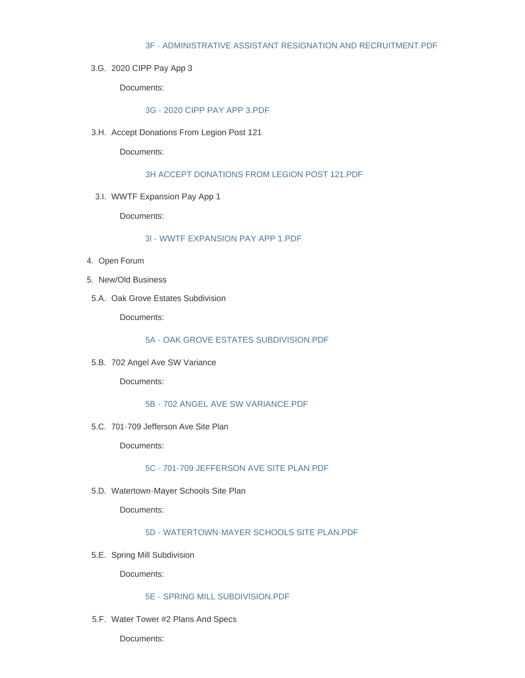#### [3F - ADMINISTRATIVE ASSISTANT RESIGNATION AND RECRUITMENT.PDF](https://www.watertownmn.gov/AgendaCenter/ViewFile/Item/2374?fileID=1852)

3.G. 2020 CIPP Pay App 3

Documents:

## [3G - 2020 CIPP PAY APP 3.PDF](https://www.watertownmn.gov/AgendaCenter/ViewFile/Item/2375?fileID=1853)

3.H. Accept Donations From Legion Post 121

Documents:

### [3H ACCEPT DONATIONS FROM LEGION POST 121.PDF](https://www.watertownmn.gov/AgendaCenter/ViewFile/Item/2376?fileID=1854)

3.I. WWTF Expansion Pay App 1

Documents:

## [3I - WWTF EXPANSION PAY APP 1.PDF](https://www.watertownmn.gov/AgendaCenter/ViewFile/Item/2377?fileID=1855)

- 4. Open Forum
- 5. New/Old Business
- 5.A. Oak Grove Estates Subdivision

Documents:

[5A - OAK GROVE ESTATES SUBDIVISION.PDF](https://www.watertownmn.gov/AgendaCenter/ViewFile/Item/2378?fileID=1856)

5.B. 702 Angel Ave SW Variance

Documents:

[5B - 702 ANGEL AVE SW VARIANCE.PDF](https://www.watertownmn.gov/AgendaCenter/ViewFile/Item/2379?fileID=1857)

5.C. 701-709 Jefferson Ave Site Plan

Documents:

[5C - 701-709 JEFFERSON AVE SITE PLAN.PDF](https://www.watertownmn.gov/AgendaCenter/ViewFile/Item/2380?fileID=1858)

5.D. Watertown-Mayer Schools Site Plan

Documents:

### [5D - WATERTOWN-MAYER SCHOOLS SITE PLAN.PDF](https://www.watertownmn.gov/AgendaCenter/ViewFile/Item/2381?fileID=1859)

5.E. Spring Mill Subdivision

Documents:

#### [5E - SPRING MILL SUBDIVISION.PDF](https://www.watertownmn.gov/AgendaCenter/ViewFile/Item/2382?fileID=1860)

5.F. Water Tower #2 Plans And Specs

Documents: